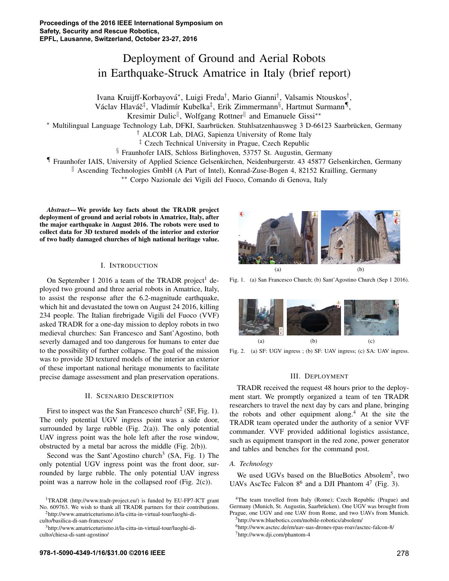# Deployment of Ground and Aerial Robots in Earthquake-Struck Amatrice in Italy (brief report)

Ivana Kruijff-Korbayova´⇤, Luigi Freda*†*, Mario Gianni*†*, Valsamis Ntouskos*†*,

Václav Hlaváč<sup>‡</sup>, Vladimír Kubelka<sup>‡</sup>, Erik Zimmermann<sup>§</sup>, Hartmut Surmann<sup>¶</sup>,

Kresimir Dulic<sup>||</sup>, Wolfgang Rottner<sup>||</sup> and Emanuele Gissi<sup>\*</sup>\*

⇤ Multilingual Language Technology Lab, DFKI, Saarbrucken. Stuhlsatzenhausweg 3 D-66123 Saarbr ¨ ucken, Germany ¨

*†* ALCOR Lab, DIAG, Sapienza University of Rome Italy

*‡* Czech Technical University in Prague, Czech Republic

*§* Fraunhofer IAIS, Schloss Birlinghoven, 53757 St. Augustin, Germany

*¶* Fraunhofer IAIS, University of Applied Science Gelsenkirchen, Neidenburgerstr. 43 45877 Gelsenkirchen, Germany

 $\parallel$  Ascending Technologies GmbH (A Part of Intel), Konrad-Zuse-Bogen 4, 82152 Krailling, Germany

⇤⇤ Corpo Nazionale dei Vigili del Fuoco, Comando di Genova, Italy

*Abstract*— We provide key facts about the TRADR project deployment of ground and aerial robots in Amatrice, Italy, after the major earthquake in August 2016. The robots were used to collect data for 3D textured models of the interior and exterior of two badly damaged churches of high national heritage value.

### I. INTRODUCTION

On September 1 2016 a team of the TRADR project<sup>1</sup> deployed two ground and three aerial robots in Amatrice, Italy, to assist the response after the 6.2-magnitude earthquake, which hit and devastated the town on August 24 2016, killing 234 people. The Italian firebrigade Vigili del Fuoco (VVF) asked TRADR for a one-day mission to deploy robots in two medieval churches: San Francesco and Sant'Agostino, both severly damaged and too dangerous for humans to enter due to the possibility of further collapse. The goal of the mission was to provide 3D textured models of the interior an exterior of these important national heritage monuments to facilitate precise damage assessment and plan preservation operations.

## II. SCENARIO DESCRIPTION

First to inspect was the San Francesco church<sup>2</sup> (SF, Fig. 1). The only potential UGV ingress point was a side door, surrounded by large rubble (Fig.  $2(a)$ ). The only potential UAV ingress point was the hole left after the rose window, obstructed by a metal bar across the middle (Fig. 2(b)).

Second was the Sant'Agostino church<sup>3</sup> (SA, Fig. 1) The only potential UGV ingress point was the front door, surrounded by large rubble. The only potential UAV ingress point was a narrow hole in the collapsed roof (Fig. 2(c)).

2http://www.amatriceturismo.it/la-citta-in-virtual-tour/luoghi-diculto/basilica-di-san-francesco/



Fig. 1. (a) San Francesco Church; (b) Sant'Agostino Church (Sep 1 2016).



Fig. 2. (a) SF: UGV ingress ; (b) SF: UAV ingress; (c) SA: UAV ingress.

## III. DEPLOYMENT

TRADR received the request 48 hours prior to the deployment start. We promptly organized a team of ten TRADR researchers to travel the next day by cars and plane, bringing the robots and other equipment along.<sup>4</sup> At the site the TRADR team operated under the authority of a senior VVF commander. VVF provided additional logistics assistance, such as equipment transport in the red zone, power generator and tables and benches for the command post.

### *A. Technology*

We used UGVs based on the BlueBotics Absolem<sup>5</sup>, two UAVs AscTec Falcon  $8^6$  and a DJI Phantom  $4^7$  (Fig. 3).

<sup>1</sup>TRADR (http://www.tradr-project.eu/) is funded by EU-FP7-ICT grant No. 609763. We wish to thank all TRADR partners for their contributions.

<sup>3</sup>http://www.amatriceturismo.it/la-citta-in-virtual-tour/luoghi-diculto/chiesa-di-sant-agostino/

<sup>4</sup>The team travelled from Italy (Rome); Czech Republic (Prague) and Germany (Munich, St. Augustin, Saarbrücken). One UGV was brought from Prague, one UGV and one UAV from Rome, and two UAVs from Munich.

<sup>5</sup>http://www.bluebotics.com/mobile-robotics/absolem/

<sup>6</sup>http://www.asctec.de/en/uav-uas-drones-rpas-roav/asctec-falcon-8/  $7$ http://www.dji.com/phantom-4